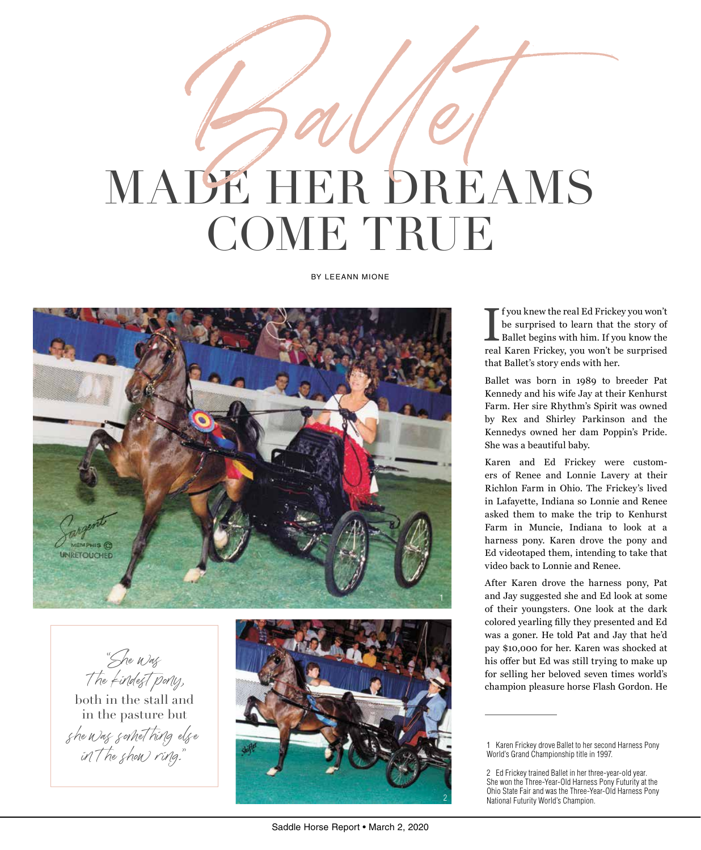## MADE HER DREAMS COME TRUE Ballet

BY LEEANN MIONE



"She was t he kindest pony, both in the stall and in the pasture but

she was somet hing else

in the show ring." 1 Karen Frickey drove Ballet to her second Harness Pony and the second Harness Pony of the show ring."

I fyou knew the real Ed Frickey you won't<br>be surprised to learn that the story of<br>Ballet begins with him. If you know the<br>real Karen Frickey, you won't be surprised f you knew the real Ed Frickey you won't be surprised to learn that the story of Ballet begins with him. If you know the that Ballet's story ends with her.

Ballet was born in 1989 to breeder Pat Kennedy and his wife Jay at their Kenhurst Farm. Her sire Rhythm's Spirit was owned by Rex and Shirley Parkinson and the Kennedys owned her dam Poppin's Pride. She was a beautiful baby.

Karen and Ed Frickey were customers of Renee and Lonnie Lavery at their Richlon Farm in Ohio. The Frickey's lived in Lafayette, Indiana so Lonnie and Renee asked them to make the trip to Kenhurst Farm in Muncie, Indiana to look at a harness pony. Karen drove the pony and Ed videotaped them, intending to take that video back to Lonnie and Renee.

After Karen drove the harness pony, Pat and Jay suggested she and Ed look at some of their youngsters. One look at the dark colored yearling filly they presented and Ed was a goner. He told Pat and Jay that he'd pay \$10,000 for her. Karen was shocked at his offer but Ed was still trying to make up for selling her beloved seven times world's champion pleasure horse Flash Gordon. He

2

World's Grand Championship title in 1997.

<sup>2</sup> Ed Frickey trained Ballet in her three-year-old year. She won the Three-Year-Old Harness Pony Futurity at the Ohio State Fair and was the Three-Year-Old Harness Pony National Futurity World's Champion.